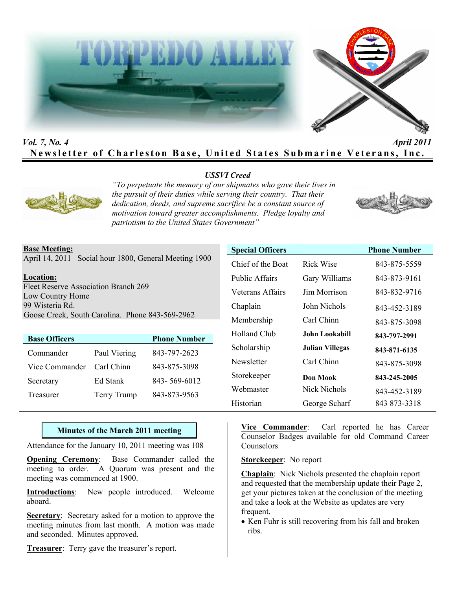



# *Vol. 7, No. 4 April 2011* **Newsletter of Charleston Base, United States Submarine Veterans, Inc.**

## *USSVI Creed*



*"To perpetuate the memory of our shipmates who gave their lives in the pursuit of their duties while serving their country. That their dedication, deeds, and supreme sacrifice be a constant source of motivation toward greater accomplishments. Pledge loyalty and patriotism to the United States Government"* 



April 14, 2011 Social hour 1800, General Meeting 1900

#### **Location:**

Fleet Reserve Association Branch 269 Low Country Home 99 Wisteria Rd. Goose Creek, South Carolina. Phone 843-569-2962

|                    | <b>Phone Number</b> |
|--------------------|---------------------|
| Paul Viering       | 843-797-2623        |
| Carl Chinn         | 843-875-3098        |
| Ed Stank           | 843-569-6012        |
| <b>Terry Trump</b> | 843-873-9563        |
|                    |                     |

| <b>Special Officers</b> |                       | <b>Phone Number</b> |
|-------------------------|-----------------------|---------------------|
| Chief of the Boat       | <b>Rick Wise</b>      | 843-875-5559        |
| Public Affairs          | Gary Williams         | 843-873-9161        |
| Veterans Affairs        | Jim Morrison          | 843-832-9716        |
| Chaplain                | John Nichols          | 843-452-3189        |
| Membership              | Carl Chinn            | 843-875-3098        |
| Holland Club            | <b>John Lookabill</b> | 843-797-2991        |
| Scholarship             | Julian Villegas       | 843-871-6135        |
| Newsletter              | Carl Chinn            | 843-875-3098        |
| Storekeeper             | Don Mook              | 843-245-2005        |
| Webmaster               | Nick Nichols          | 843-452-3189        |
| Historian               | George Scharf         | 843 873-3318        |

#### **Minutes of the March 2011 meeting**

Attendance for the January 10, 2011 meeting was 108

**Opening Ceremony**: Base Commander called the meeting to order. A Quorum was present and the meeting was commenced at 1900.

**Introductions**: New people introduced. Welcome aboard.

**Secretary**: Secretary asked for a motion to approve the meeting minutes from last month. A motion was made and seconded. Minutes approved.

**Treasurer**: Terry gave the treasurer's report.

**Vice Commander**: Carl reported he has Career Counselor Badges available for old Command Career Counselors

**Storekeeper**: No report

**Chaplain**: Nick Nichols presented the chaplain report and requested that the membership update their Page 2, get your pictures taken at the conclusion of the meeting and take a look at the Website as updates are very frequent.

• Ken Fuhr is still recovering from his fall and broken ribs.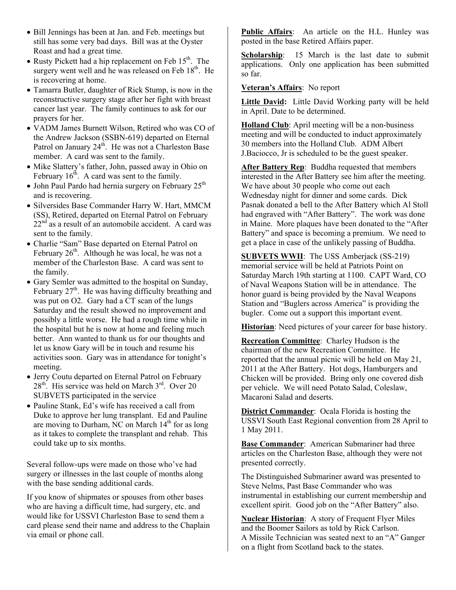- Bill Jennings has been at Jan. and Feb. meetings but still has some very bad days. Bill was at the Oyster Roast and had a great time.
- Rusty Pickett had a hip replacement on Feb  $15<sup>th</sup>$ . The surgery went well and he was released on Feb  $18<sup>th</sup>$ . He is recovering at home.
- Tamarra Butler, daughter of Rick Stump, is now in the reconstructive surgery stage after her fight with breast cancer last year. The family continues to ask for our prayers for her.
- VADM James Burnett Wilson, Retired who was CO of the Andrew Jackson (SSBN-619) departed on Eternal Patrol on January  $24<sup>th</sup>$ . He was not a Charleston Base member. A card was sent to the family.
- Mike Slattery's father, John, passed away in Ohio on February  $16<sup>th</sup>$ . A card was sent to the family.
- John Paul Pardo had hernia surgery on February  $25<sup>th</sup>$ and is recovering.
- Silversides Base Commander Harry W. Hart, MMCM (SS), Retired, departed on Eternal Patrol on February  $22<sup>nd</sup>$  as a result of an automobile accident. A card was sent to the family.
- Charlie "Sam" Base departed on Eternal Patrol on February  $26<sup>th</sup>$ . Although he was local, he was not a member of the Charleston Base. A card was sent to the family.
- Gary Semler was admitted to the hospital on Sunday, February  $27<sup>th</sup>$ . He was having difficulty breathing and was put on O2. Gary had a CT scan of the lungs Saturday and the result showed no improvement and possibly a little worse. He had a rough time while in the hospital but he is now at home and feeling much better. Ann wanted to thank us for our thoughts and let us know Gary will be in touch and resume his activities soon. Gary was in attendance for tonight's meeting.
- Jerry Coutu departed on Eternal Patrol on February  $28<sup>th</sup>$ . His service was held on March  $3<sup>rd</sup>$ . Over  $20<sup>rd</sup>$ SUBVETS participated in the service
- Pauline Stank, Ed's wife has received a call from Duke to approve her lung transplant. Ed and Pauline are moving to Durham, NC on March  $14<sup>th</sup>$  for as long as it takes to complete the transplant and rehab. This could take up to six months.

Several follow-ups were made on those who've had surgery or illnesses in the last couple of months along with the base sending additional cards.

If you know of shipmates or spouses from other bases who are having a difficult time, had surgery, etc. and would like for USSVI Charleston Base to send them a card please send their name and address to the Chaplain via email or phone call.

**Public Affairs**: An article on the H.L. Hunley was posted in the base Retired Affairs paper.

**Scholarship**: 15 March is the last date to submit applications. Only one application has been submitted so far.

#### **Veteran's Affairs**: No report

**Little David:** Little David Working party will be held in April. Date to be determined.

**Holland Club**: April meeting will be a non-business meeting and will be conducted to induct approximately 30 members into the Holland Club. ADM Albert J.Baciocco, Jr is scheduled to be the guest speaker.

**After Battery Rep**: Buddha requested that members interested in the After Battery see him after the meeting. We have about 30 people who come out each Wednesday night for dinner and some cards. Dick Pasnak donated a bell to the After Battery which Al Stoll had engraved with "After Battery". The work was done in Maine. More plaques have been donated to the "After Battery" and space is becoming a premium. We need to get a place in case of the unlikely passing of Buddha.

**SUBVETS WWII**: The USS Amberjack (SS-219) memorial service will be held at Patriots Point on Saturday March 19th starting at 1100. CAPT Ward, CO of Naval Weapons Station will be in attendance. The honor guard is being provided by the Naval Weapons Station and "Buglers across America" is providing the bugler. Come out a support this important event.

**Historian**: Need pictures of your career for base history.

**Recreation Committee**: Charley Hudson is the chairman of the new Recreation Committee. He reported that the annual picnic will be held on May 21, 2011 at the After Battery. Hot dogs, Hamburgers and Chicken will be provided. Bring only one covered dish per vehicle. We will need Potato Salad, Coleslaw, Macaroni Salad and deserts.

**District Commander**: Ocala Florida is hosting the USSVI South East Regional convention from 28 April to 1 May 2011.

**Base Commander**: American Submariner had three articles on the Charleston Base, although they were not presented correctly.

The Distinguished Submariner award was presented to Steve Nelms, Past Base Commander who was instrumental in establishing our current membership and excellent spirit. Good job on the "After Battery" also.

**Nuclear Historian**: A story of Frequent Flyer Miles and the Boomer Sailors as told by Rick Carlson. A Missile Technician was seated next to an "A" Ganger on a flight from Scotland back to the states.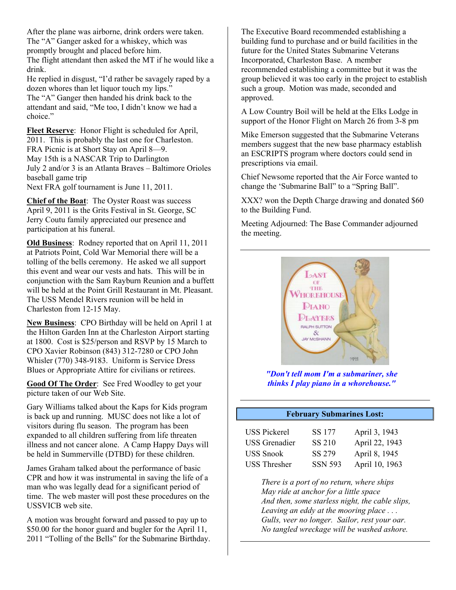After the plane was airborne, drink orders were taken. The "A" Ganger asked for a whiskey, which was promptly brought and placed before him. The flight attendant then asked the MT if he would like a drink.

He replied in disgust, "I'd rather be savagely raped by a dozen whores than let liquor touch my lips." The "A" Ganger then handed his drink back to the attendant and said, "Me too, I didn't know we had a choice."

**Fleet Reserve**: Honor Flight is scheduled for April, 2011. This is probably the last one for Charleston. FRA Picnic is at Short Stay on April 8—9. May 15th is a NASCAR Trip to Darlington July 2 and/or 3 is an Atlanta Braves – Baltimore Orioles baseball game trip Next FRA golf tournament is June 11, 2011.

**Chief of the Boat**: The Oyster Roast was success April 9, 2011 is the Grits Festival in St. George, SC Jerry Coutu family appreciated our presence and participation at his funeral.

**Old Business**: Rodney reported that on April 11, 2011 at Patriots Point, Cold War Memorial there will be a tolling of the bells ceremony. He asked we all support this event and wear our vests and hats. This will be in conjunction with the Sam Rayburn Reunion and a buffett will be held at the Point Grill Restaurant in Mt. Pleasant. The USS Mendel Rivers reunion will be held in Charleston from 12-15 May.

**New Business**: CPO Birthday will be held on April 1 at the Hilton Garden Inn at the Charleston Airport starting at 1800. Cost is \$25/person and RSVP by 15 March to CPO Xavier Robinson (843) 312-7280 or CPO John Whisler (770) 348-9183. Uniform is Service Dress Blues or Appropriate Attire for civilians or retirees.

**Good Of The Order**: See Fred Woodley to get your picture taken of our Web Site.

Gary Williams talked about the Kaps for Kids program is back up and running. MUSC does not like a lot of visitors during flu season. The program has been expanded to all children suffering from life threaten illness and not cancer alone. A Camp Happy Days will be held in Summerville (DTBD) for these children.

James Graham talked about the performance of basic CPR and how it was instrumental in saving the life of a man who was legally dead for a significant period of time. The web master will post these procedures on the USSVICB web site.

A motion was brought forward and passed to pay up to \$50.00 for the honor guard and bugler for the April 11, 2011 "Tolling of the Bells" for the Submarine Birthday. The Executive Board recommended establishing a building fund to purchase and or build facilities in the future for the United States Submarine Veterans Incorporated, Charleston Base. A member recommended establishing a committee but it was the group believed it was too early in the project to establish such a group. Motion was made, seconded and approved.

A Low Country Boil will be held at the Elks Lodge in support of the Honor Flight on March 26 from 3-8 pm

Mike Emerson suggested that the Submarine Veterans members suggest that the new base pharmacy establish an ESCRIPTS program where doctors could send in prescriptions via email.

Chief Newsome reported that the Air Force wanted to change the 'Submarine Ball" to a "Spring Ball".

XXX? won the Depth Charge drawing and donated \$60 to the Building Fund.

Meeting Adjourned: The Base Commander adjourned the meeting.



*"Don't tell mom I'm a submariner, she thinks I play piano in a whorehouse."* 

#### **February Submarines Lost:**

| <b>USS Pickerel</b>  | SS 177         | April 3, 1943  |
|----------------------|----------------|----------------|
| <b>USS</b> Grenadier | SS 210         | April 22, 1943 |
| <b>USS Snook</b>     | SS 279         | April 8, 1945  |
| <b>USS Thresher</b>  | <b>SSN 593</b> | April 10, 1963 |

*There is a port of no return, where ships May ride at anchor for a little space And then, some starless night, the cable slips, Leaving an eddy at the mooring place . . . Gulls, veer no longer. Sailor, rest your oar. No tangled wreckage will be washed ashore.*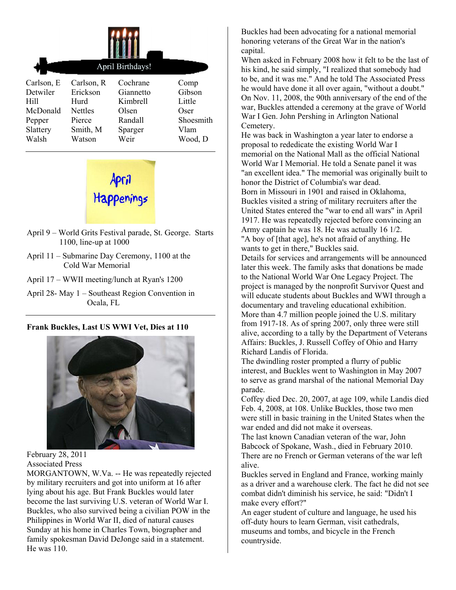|            | April Birthdays! |           |           |
|------------|------------------|-----------|-----------|
| Carlson, E | Carlson, R       | Cochrane  | Comp      |
| Detwiler   | Erickson         | Giannetto | Gibson    |
| Hill       | Hurd             | Kimbrell  | Little    |
| McDonald   | <b>Nettles</b>   | Olsen     | Oser      |
| Pepper     | Pierce           | Randall   | Shoesmith |
| Slattery   | Smith, M         | Sparger   | Vlam      |
| Walsh      | Watson           | Weir      | Wood, D   |



- April 9 World Grits Festival parade, St. George. Starts 1100, line-up at 1000
- April 11 Submarine Day Ceremony, 1100 at the Cold War Memorial
- April 17 WWII meeting/lunch at Ryan's 1200
- April 28- May 1 Southeast Region Convention in Ocala, FL

## **Frank Buckles, Last US WWI Vet, Dies at 110**



February 28, 2011 Associated Press

MORGANTOWN, W.Va. -- He was repeatedly rejected by military recruiters and got into uniform at 16 after lying about his age. But Frank Buckles would later become the last surviving U.S. veteran of World War I. Buckles, who also survived being a civilian POW in the Philippines in World War II, died of natural causes Sunday at his home in Charles Town, biographer and family spokesman David DeJonge said in a statement. He was 110.

Buckles had been advocating for a national memorial honoring veterans of the Great War in the nation's capital.

When asked in February 2008 how it felt to be the last of his kind, he said simply, "I realized that somebody had to be, and it was me." And he told The Associated Press he would have done it all over again, "without a doubt." On Nov. 11, 2008, the 90th anniversary of the end of the war, Buckles attended a ceremony at the grave of World War I Gen. John Pershing in Arlington National Cemetery.

He was back in Washington a year later to endorse a proposal to rededicate the existing World War I memorial on the National Mall as the official National World War I Memorial. He told a Senate panel it was "an excellent idea." The memorial was originally built to honor the District of Columbia's war dead. Born in Missouri in 1901 and raised in Oklahoma, Buckles visited a string of military recruiters after the United States entered the "war to end all wars" in April 1917. He was repeatedly rejected before convincing an Army captain he was 18. He was actually 16 1/2. "A boy of [that age], he's not afraid of anything. He wants to get in there," Buckles said.

Details for services and arrangements will be announced later this week. The family asks that donations be made to the National World War One Legacy Project. The project is managed by the nonprofit Survivor Quest and will educate students about Buckles and WWI through a documentary and traveling educational exhibition. More than 4.7 million people joined the U.S. military from 1917-18. As of spring 2007, only three were still alive, according to a tally by the Department of Veterans Affairs: Buckles, J. Russell Coffey of Ohio and Harry Richard Landis of Florida.

The dwindling roster prompted a flurry of public interest, and Buckles went to Washington in May 2007 to serve as grand marshal of the national Memorial Day parade.

Coffey died Dec. 20, 2007, at age 109, while Landis died Feb. 4, 2008, at 108. Unlike Buckles, those two men were still in basic training in the United States when the war ended and did not make it overseas.

The last known Canadian veteran of the war, John Babcock of Spokane, Wash., died in February 2010. There are no French or German veterans of the war left alive.

Buckles served in England and France, working mainly as a driver and a warehouse clerk. The fact he did not see combat didn't diminish his service, he said: "Didn't I make every effort?"

An eager student of culture and language, he used his off-duty hours to learn German, visit cathedrals, museums and tombs, and bicycle in the French countryside.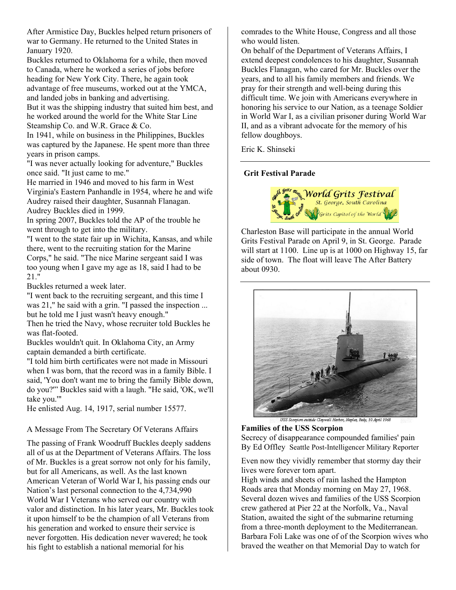After Armistice Day, Buckles helped return prisoners of war to Germany. He returned to the United States in January 1920.

Buckles returned to Oklahoma for a while, then moved to Canada, where he worked a series of jobs before heading for New York City. There, he again took advantage of free museums, worked out at the YMCA, and landed jobs in banking and advertising.

But it was the shipping industry that suited him best, and he worked around the world for the White Star Line Steamship Co. and W.R. Grace & Co.

In 1941, while on business in the Philippines, Buckles was captured by the Japanese. He spent more than three years in prison camps.

"I was never actually looking for adventure," Buckles once said. "It just came to me."

He married in 1946 and moved to his farm in West Virginia's Eastern Panhandle in 1954, where he and wife Audrey raised their daughter, Susannah Flanagan. Audrey Buckles died in 1999.

In spring 2007, Buckles told the AP of the trouble he went through to get into the military.

"I went to the state fair up in Wichita, Kansas, and while there, went to the recruiting station for the Marine Corps," he said. "The nice Marine sergeant said I was too young when I gave my age as 18, said I had to be 21."

Buckles returned a week later.

"I went back to the recruiting sergeant, and this time I was 21," he said with a grin. "I passed the inspection ... but he told me I just wasn't heavy enough."

Then he tried the Navy, whose recruiter told Buckles he was flat-footed.

Buckles wouldn't quit. In Oklahoma City, an Army captain demanded a birth certificate.

"I told him birth certificates were not made in Missouri when I was born, that the record was in a family Bible. I said, 'You don't want me to bring the family Bible down, do you?'" Buckles said with a laugh. "He said, 'OK, we'll take you.'"

He enlisted Aug. 14, 1917, serial number 15577.

A Message From The Secretary Of Veterans Affairs

The passing of Frank Woodruff Buckles deeply saddens all of us at the Department of Veterans Affairs. The loss of Mr. Buckles is a great sorrow not only for his family, but for all Americans, as well. As the last known American Veteran of World War I, his passing ends our Nation's last personal connection to the 4,734,990 World War I Veterans who served our country with valor and distinction. In his later years, Mr. Buckles took it upon himself to be the champion of all Veterans from his generation and worked to ensure their service is never forgotten. His dedication never wavered; he took his fight to establish a national memorial for his

comrades to the White House, Congress and all those who would listen.

On behalf of the Department of Veterans Affairs, I extend deepest condolences to his daughter, Susannah Buckles Flanagan, who cared for Mr. Buckles over the years, and to all his family members and friends. We pray for their strength and well-being during this difficult time. We join with Americans everywhere in honoring his service to our Nation, as a teenage Soldier in World War I, as a civilian prisoner during World War II, and as a vibrant advocate for the memory of his fellow doughboys.

Eric K. Shinseki

#### **Grit Festival Parade**



Charleston Base will participate in the annual World Grits Festival Parade on April 9, in St. George. Parade will start at 1100. Line up is at 1000 on Highway 15, far side of town. The float will leave The After Battery about 0930.



USS Scorpion outside Claywall Harbor, Naples, Italy, 10 April 1968

**Families of the USS Scorpion**  Secrecy of disappearance compounded families' pain By Ed Offley Seattle Post-Intelligencer Military Reporter

Even now they vividly remember that stormy day their lives were forever torn apart.

High winds and sheets of rain lashed the Hampton Roads area that Monday morning on May 27, 1968. Several dozen wives and families of the USS Scorpion crew gathered at Pier 22 at the Norfolk, Va., Naval Station, awaited the sight of the submarine returning from a three-month deployment to the Mediterranean. Barbara Foli Lake was one of of the Scorpion wives who braved the weather on that Memorial Day to watch for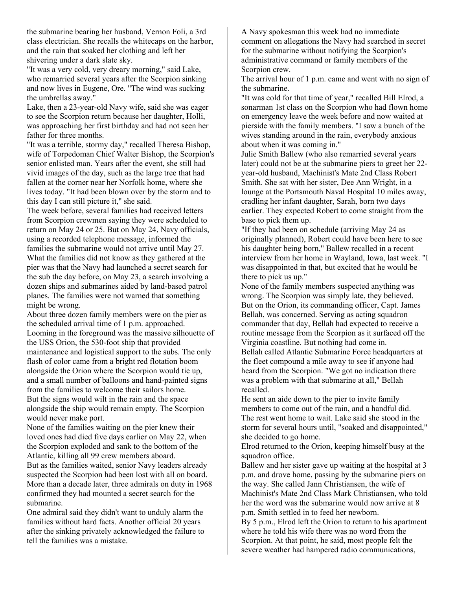the submarine bearing her husband, Vernon Foli, a 3rd class electrician. She recalls the whitecaps on the harbor, and the rain that soaked her clothing and left her shivering under a dark slate sky.

"It was a very cold, very dreary morning," said Lake, who remarried several years after the Scorpion sinking and now lives in Eugene, Ore. "The wind was sucking the umbrellas away."

Lake, then a 23-year-old Navy wife, said she was eager to see the Scorpion return because her daughter, Holli, was approaching her first birthday and had not seen her father for three months.

"It was a terrible, stormy day," recalled Theresa Bishop, wife of Torpedoman Chief Walter Bishop, the Scorpion's senior enlisted man. Years after the event, she still had vivid images of the day, such as the large tree that had fallen at the corner near her Norfolk home, where she lives today. "It had been blown over by the storm and to this day I can still picture it," she said.

The week before, several families had received letters from Scorpion crewmen saying they were scheduled to return on May 24 or 25. But on May 24, Navy officials, using a recorded telephone message, informed the families the submarine would not arrive until May 27. What the families did not know as they gathered at the pier was that the Navy had launched a secret search for the sub the day before, on May 23, a search involving a dozen ships and submarines aided by land-based patrol planes. The families were not warned that something might be wrong.

About three dozen family members were on the pier as the scheduled arrival time of 1 p.m. approached. Looming in the foreground was the massive silhouette of the USS Orion, the 530-foot ship that provided maintenance and logistical support to the subs. The only flash of color came from a bright red flotation boom alongside the Orion where the Scorpion would tie up, and a small number of balloons and hand-painted signs from the families to welcome their sailors home. But the signs would wilt in the rain and the space alongside the ship would remain empty. The Scorpion would never make port.

None of the families waiting on the pier knew their loved ones had died five days earlier on May 22, when the Scorpion exploded and sank to the bottom of the Atlantic, killing all 99 crew members aboard.

But as the families waited, senior Navy leaders already suspected the Scorpion had been lost with all on board. More than a decade later, three admirals on duty in 1968 confirmed they had mounted a secret search for the submarine.

One admiral said they didn't want to unduly alarm the families without hard facts. Another official 20 years after the sinking privately acknowledged the failure to tell the families was a mistake.

A Navy spokesman this week had no immediate comment on allegations the Navy had searched in secret for the submarine without notifying the Scorpion's administrative command or family members of the Scorpion crew.

The arrival hour of 1 p.m. came and went with no sign of the submarine.

"It was cold for that time of year," recalled Bill Elrod, a sonarman 1st class on the Scorpion who had flown home on emergency leave the week before and now waited at pierside with the family members. "I saw a bunch of the wives standing around in the rain, everybody anxious about when it was coming in."

Julie Smith Ballew (who also remarried several years later) could not be at the submarine piers to greet her 22 year-old husband, Machinist's Mate 2nd Class Robert Smith. She sat with her sister, Dee Ann Wright, in a lounge at the Portsmouth Naval Hospital 10 miles away, cradling her infant daughter, Sarah, born two days earlier. They expected Robert to come straight from the base to pick them up.

"If they had been on schedule (arriving May 24 as originally planned), Robert could have been here to see his daughter being born," Ballew recalled in a recent interview from her home in Wayland, Iowa, last week. "I was disappointed in that, but excited that he would be there to pick us up."

None of the family members suspected anything was wrong. The Scorpion was simply late, they believed. But on the Orion, its commanding officer, Capt. James Bellah, was concerned. Serving as acting squadron commander that day, Bellah had expected to receive a routine message from the Scorpion as it surfaced off the Virginia coastline. But nothing had come in. Bellah called Atlantic Submarine Force headquarters at the fleet compound a mile away to see if anyone had heard from the Scorpion. "We got no indication there was a problem with that submarine at all," Bellah recalled.

He sent an aide down to the pier to invite family members to come out of the rain, and a handful did. The rest went home to wait. Lake said she stood in the storm for several hours until, "soaked and disappointed," she decided to go home.

Elrod returned to the Orion, keeping himself busy at the squadron office.

Ballew and her sister gave up waiting at the hospital at 3 p.m. and drove home, passing by the submarine piers on the way. She called Jann Christiansen, the wife of Machinist's Mate 2nd Class Mark Christiansen, who told her the word was the submarine would now arrive at 8 p.m. Smith settled in to feed her newborn.

By 5 p.m., Elrod left the Orion to return to his apartment where he told his wife there was no word from the Scorpion. At that point, he said, most people felt the severe weather had hampered radio communications,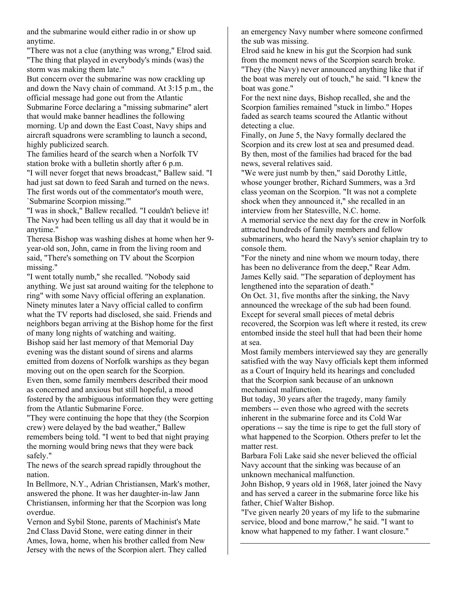and the submarine would either radio in or show up anytime.

"There was not a clue (anything was wrong," Elrod said. "The thing that played in everybody's minds (was) the storm was making them late."

But concern over the submarine was now crackling up and down the Navy chain of command. At 3:15 p.m., the official message had gone out from the Atlantic Submarine Force declaring a "missing submarine" alert that would make banner headlines the following morning. Up and down the East Coast, Navy ships and aircraft squadrons were scrambling to launch a second, highly publicized search.

The families heard of the search when a Norfolk TV station broke with a bulletin shortly after 6 p.m.

"I will never forget that news broadcast," Ballew said. "I had just sat down to feed Sarah and turned on the news. The first words out of the commentator's mouth were, `Submarine Scorpion missing.'"

"I was in shock," Ballew recalled. "I couldn't believe it! The Navy had been telling us all day that it would be in anytime."

Theresa Bishop was washing dishes at home when her 9 year-old son, John, came in from the living room and said, "There's something on TV about the Scorpion missing."

"I went totally numb," she recalled. "Nobody said anything. We just sat around waiting for the telephone to ring" with some Navy official offering an explanation. Ninety minutes later a Navy official called to confirm what the TV reports had disclosed, she said. Friends and neighbors began arriving at the Bishop home for the first of many long nights of watching and waiting. Bishop said her last memory of that Memorial Day evening was the distant sound of sirens and alarms emitted from dozens of Norfolk warships as they began moving out on the open search for the Scorpion. Even then, some family members described their mood as concerned and anxious but still hopeful, a mood fostered by the ambiguous information they were getting from the Atlantic Submarine Force.

"They were continuing the hope that they (the Scorpion crew) were delayed by the bad weather," Ballew remembers being told. "I went to bed that night praying the morning would bring news that they were back safely."

The news of the search spread rapidly throughout the nation.

In Bellmore, N.Y., Adrian Christiansen, Mark's mother, answered the phone. It was her daughter-in-law Jann Christiansen, informing her that the Scorpion was long overdue.

Vernon and Sybil Stone, parents of Machinist's Mate 2nd Class David Stone, were eating dinner in their Ames, Iowa, home, when his brother called from New Jersey with the news of the Scorpion alert. They called an emergency Navy number where someone confirmed the sub was missing.

Elrod said he knew in his gut the Scorpion had sunk from the moment news of the Scorpion search broke. "They (the Navy) never announced anything like that if the boat was merely out of touch," he said. "I knew the boat was gone."

For the next nine days, Bishop recalled, she and the Scorpion families remained "stuck in limbo." Hopes faded as search teams scoured the Atlantic without detecting a clue.

Finally, on June 5, the Navy formally declared the Scorpion and its crew lost at sea and presumed dead. By then, most of the families had braced for the bad news, several relatives said.

"We were just numb by then," said Dorothy Little, whose younger brother, Richard Summers, was a 3rd class yeoman on the Scorpion. "It was not a complete shock when they announced it," she recalled in an interview from her Statesville, N.C. home.

A memorial service the next day for the crew in Norfolk attracted hundreds of family members and fellow submariners, who heard the Navy's senior chaplain try to console them.

"For the ninety and nine whom we mourn today, there has been no deliverance from the deep," Rear Adm. James Kelly said. "The separation of deployment has lengthened into the separation of death."

On Oct. 31, five months after the sinking, the Navy announced the wreckage of the sub had been found. Except for several small pieces of metal debris recovered, the Scorpion was left where it rested, its crew entombed inside the steel hull that had been their home at sea.

Most family members interviewed say they are generally satisfied with the way Navy officials kept them informed as a Court of Inquiry held its hearings and concluded that the Scorpion sank because of an unknown mechanical malfunction.

But today, 30 years after the tragedy, many family members -- even those who agreed with the secrets inherent in the submarine force and its Cold War operations -- say the time is ripe to get the full story of what happened to the Scorpion. Others prefer to let the matter rest.

Barbara Foli Lake said she never believed the official Navy account that the sinking was because of an unknown mechanical malfunction.

John Bishop, 9 years old in 1968, later joined the Navy and has served a career in the submarine force like his father, Chief Walter Bishop.

"I've given nearly 20 years of my life to the submarine service, blood and bone marrow," he said. "I want to know what happened to my father. I want closure."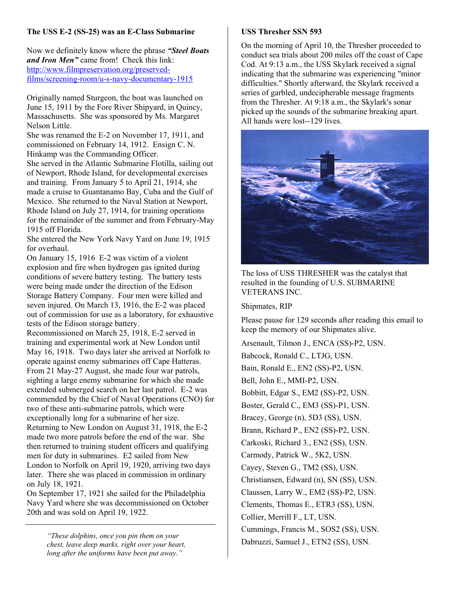# **The USS E-2 (SS-25) was an E-Class Submarine**

Now we definitely know where the phrase *"Steel Boats and Iron Men"* came from! Check this link: http://www.filmpreservation.org/preservedfilms/screening-room/u-s-navy-documentary-1915

Originally named Sturgeon, the boat was launched on June 15, 1911 by the Fore River Shipyard, in Quincy, Massachusetts. She was sponsored by Ms. Margaret Nelson Little.

She was renamed the E-2 on November 17, 1911, and commissioned on February 14, 1912. Ensign C. N. Hinkamp was the Commanding Officer.

She served in the Atlantic Submarine Flotilla, sailing out of Newport, Rhode Island, for developmental exercises and training. From January 5 to April 21, 1914, she made a cruise to Guantanamo Bay, Cuba and the Gulf of Mexico. She returned to the Naval Station at Newport, Rhode Island on July 27, 1914, for training operations for the remainder of the summer and from February-May 1915 off Florida.

She entered the New York Navy Yard on June 19, 1915 for overhaul.

On January 15, 1916 E-2 was victim of a violent explosion and fire when hydrogen gas ignited during conditions of severe battery testing. The battery tests were being made under the direction of the Edison Storage Battery Company. Four men were killed and seven injured. On March 13, 1916, the E-2 was placed out of commission for use as a laboratory, for exhaustive tests of the Edison storage battery.

Recommissioned on March 25, 1918, E-2 served in training and experimental work at New London until May 16, 1918. Two days later she arrived at Norfolk to operate against enemy submarines off Cape Hatteras. From 21 May-27 August, she made four war patrols, sighting a large enemy submarine for which she made extended submerged search on her last patrol. E-2 was commended by the Chief of Naval Operations (CNO) for two of these anti-submarine patrols, which were exceptionally long for a submarine of her size. Returning to New London on August 31, 1918, the E-2 made two more patrols before the end of the war. She then returned to training student officers and qualifying men for duty in submarines. E2 sailed from New London to Norfolk on April 19, 1920, arriving two days later. There she was placed in commission in ordinary on July 18, 1921.

On September 17, 1921 she sailed for the Philadelphia Navy Yard where she was decommissioned on October 20th and was sold on April 19, 1922.

> *"These dolphins, once you pin them on your chest, leave deep marks, right over your heart, long after the uniforms have been put away."*

## **USS Thresher SSN 593**

On the morning of April 10, the Thresher proceeded to conduct sea trials about 200 miles off the coast of Cape Cod. At 9:13 a.m., the USS Skylark received a signal indicating that the submarine was experiencing "minor difficulties." Shortly afterward, the Skylark received a series of garbled, undecipherable message fragments from the Thresher. At 9:18 a.m., the Skylark's sonar picked up the sounds of the submarine breaking apart. All hands were lost--129 lives.



The loss of USS THRESHER was the catalyst that resulted in the founding of U.S. SUBMARINE VETERANS INC.

Shipmates, RIP

Please pause for 129 seconds after reading this email to keep the memory of our Shipmates alive.

Arsenault, Tilmon J., ENCA (SS)-P2, USN. Babcock, Ronald C., LTJG, USN. Bain, Ronald E., EN2 (SS)-P2, USN. Bell, John E., MMI-P2, USN. Bobbitt, Edgar S., EM2 (SS)-P2, USN. Boster, Gerald C., EM3 (SS)-P1, USN. Bracey, George (n), 5D3 (SS), USN. Brann, Richard P., EN2 (SS)-P2, USN. Carkoski, Richard 3., EN2 (SS), USN. Carmody, Patrick W., 5K2, USN. Cayey, Steven G., TM2 (SS), USN. Christiansen, Edward (n), SN (SS), USN. Claussen, Larry W., EM2 (SS)-P2, USN. Clements, Thomas E., ETR3 (SS), USN. Collier, Merrill F., LT, USN. Cummings, Francis M., SOS2 (SS), USN. Dabruzzi, Samuel J., ETN2 (SS), USN.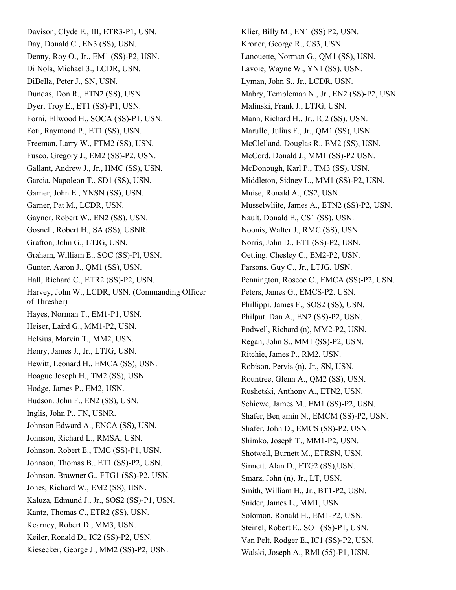Davison, Clyde E., III, ETR3-P1, USN. Day, Donald C., EN3 (SS), USN. Denny, Roy O., Jr., EM1 (SS)-P2, USN. Di Nola, Michael 3., LCDR, USN. DiBella, Peter J., SN, USN. Dundas, Don R., ETN2 (SS), USN. Dyer, Troy E., ET1 (SS)-P1, USN. Forni, Ellwood H., SOCA (SS)-P1, USN. Foti, Raymond P., ET1 (SS), USN. Freeman, Larry W., FTM2 (SS), USN. Fusco, Gregory J., EM2 (SS)-P2, USN. Gallant, Andrew J., Jr., HMC (SS), USN. Garcia, Napoleon T., SD1 (SS), USN. Garner, John E., YNSN (SS), USN. Garner, Pat M., LCDR, USN. Gaynor, Robert W., EN2 (SS), USN. Gosnell, Robert H., SA (SS), USNR. Grafton, John G., LTJG, USN. Graham, William E., SOC (SS)-Pl, USN. Gunter, Aaron J., QM1 (SS), USN. Hall, Richard C., ETR2 (SS)-P2, USN. Harvey, John W., LCDR, USN. (Commanding Officer of Thresher) Hayes, Norman T., EM1-P1, USN. Heiser, Laird G., MM1-P2, USN. Helsius, Marvin T., MM2, USN. Henry, James J., Jr., LTJG, USN. Hewitt, Leonard H., EMCA (SS), USN. Hoague Joseph H., TM2 (SS), USN. Hodge, James P., EM2, USN. Hudson. John F., EN2 (SS), USN. Inglis, John P., FN, USNR. Johnson Edward A., ENCA (SS), USN. Johnson, Richard L., RMSA, USN. Johnson, Robert E., TMC (SS)-P1, USN. Johnson, Thomas B., ET1 (SS)-P2, USN. Johnson. Brawner G., FTG1 (SS)-P2, USN. Jones, Richard W., EM2 (SS), USN. Kaluza, Edmund J., Jr., SOS2 (SS)-P1, USN. Kantz, Thomas C., ETR2 (SS), USN. Kearney, Robert D., MM3, USN. Keiler, Ronald D., IC2 (SS)-P2, USN. Kiesecker, George J., MM2 (SS)-P2, USN.

Klier, Billy M., EN1 (SS) P2, USN. Kroner, George R., CS3, USN. Lanouette, Norman G., QM1 (SS), USN. Lavoie, Wayne W., YN1 (SS), USN. Lyman, John S., Jr., LCDR, USN. Mabry, Templeman N., Jr., EN2 (SS)-P2, USN. Malinski, Frank J., LTJG, USN. Mann, Richard H., Jr., IC2 (SS), USN. Marullo, Julius F., Jr., QM1 (SS), USN. McClelland, Douglas R., EM2 (SS), USN. McCord, Donald J., MM1 (SS)-P2 USN. McDonough, Karl P., TM3 (SS), USN. Middleton, Sidney L., MM1 (SS)-P2, USN. Muise, Ronald A., CS2, USN. Musselwliite, James A., ETN2 (SS)-P2, USN. Nault, Donald E., CS1 (SS), USN. Noonis, Walter J., RMC (SS), USN. Norris, John D., ET1 (SS)-P2, USN. Oetting. Chesley C., EM2-P2, USN. Parsons, Guy C., Jr., LTJG, USN. Pennington, Roscoe C., EMCA (SS)-P2, USN. Peters, James G., EMCS-P2. USN. Phillippi. James F., SOS2 (SS), USN. Philput. Dan A., EN2 (SS)-P2, USN. Podwell, Richard (n), MM2-P2, USN. Regan, John S., MM1 (SS)-P2, USN. Ritchie, James P., RM2, USN. Robison, Pervis (n), Jr., SN, USN. Rountree, Glenn A., QM2 (SS), USN. Rushetski, Anthony A., ETN2, USN. Schiewe, James M., EM1 (SS)-P2, USN. Shafer, Benjamin N., EMCM (SS)-P2, USN. Shafer, John D., EMCS (SS)-P2, USN. Shimko, Joseph T., MM1-P2, USN. Shotwell, Burnett M., ETRSN, USN. Sinnett. Alan D., FTG2 (SS),USN. Smarz, John (n), Jr., LT, USN. Smith, William H., Jr., BT1-P2, USN. Snider, James L., MM1, USN. Solomon, Ronald H., EM1-P2, USN. Steinel, Robert E., SO1 (SS)-P1, USN. Van Pelt, Rodger E., IC1 (SS)-P2, USN. Walski, Joseph A., RMl (55)-P1, USN.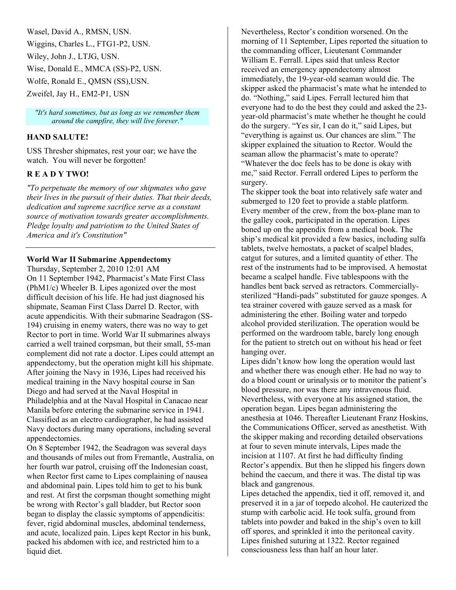Wasel, David A., RMSN, USN. Wiggins, Charles L., FTG1-P2, USN. Wiley, John J., LTJG, USN. Wise, Donald E., MMCA (SS)-P2, USN. Wolfe, Ronald E., QMSN (SS),USN. Zweifel, Jay H., EM2-P1, USN

*"It's hard sometimes, but as long as we remember them around the campfire, they will live forever."* 

#### **HAND SALUTE!**

USS Thresher shipmates, rest your oar; we have the watch. You will never be forgotten!

#### **R E A D Y TWO!**

*"To perpetuate the memory of our shipmates who gave their lives in the pursuit of their duties. That their deeds, dedication and supreme sacrifice serve as a constant source of motivation towards greater accomplishments. Pledge loyalty and patriotism to the United States of America and it's Constitution"* 

#### **World War II Submarine Appendectomy**

Thursday, September 2, 2010 12:01 AM On 11 September 1942, Pharmacist's Mate First Class (PhM1/c) Wheeler B. Lipes agonized over the most difficult decision of his life. He had just diagnosed his shipmate, Seaman First Class Darrel D. Rector, with acute appendicitis. With their submarine Seadragon (SS-194) cruising in enemy waters, there was no way to get Rector to port in time. World War II submarines always carried a well trained corpsman, but their small, 55-man complement did not rate a doctor. Lipes could attempt an appendectomy, but the operation might kill his shipmate. After joining the Navy in 1936, Lipes had received his medical training in the Navy hospital course in San Diego and had served at the Naval Hospital in Philadelphia and at the Naval Hospital in Canacao near Manila before entering the submarine service in 1941. Classified as an electro cardiographer, he had assisted Navy doctors during many operations, including several appendectomies.

On 8 September 1942, the Seadragon was several days and thousands of miles out from Fremantle, Australia, on her fourth war patrol, cruising off the Indonesian coast, when Rector first came to Lipes complaining of nausea and abdominal pain. Lipes told him to get to his bunk and rest. At first the corpsman thought something might be wrong with Rector's gall bladder, but Rector soon began to display the classic symptoms of appendicitis: fever, rigid abdominal muscles, abdominal tenderness, and acute, localized pain. Lipes kept Rector in his bunk, packed his abdomen with ice, and restricted him to a liquid diet.

Nevertheless, Rector's condition worsened. On the morning of 11 September, Lipes reported the situation to the commanding officer, Lieutenant Commander William E. Ferrall. Lipes said that unless Rector received an emergency appendectomy almost immediately, the 19-year-old seaman would die. The skipper asked the pharmacist's mate what he intended to do. "Nothing," said Lipes. Ferrall lectured him that everyone had to do the best they could and asked the 23 year-old pharmacist's mate whether he thought he could do the surgery. "Yes sir, I can do it," said Lipes, but "everything is against us. Our chances are slim." The skipper explained the situation to Rector. Would the seaman allow the pharmacist's mate to operate? "Whatever the doc feels has to be done is okay with me," said Rector. Ferrall ordered Lipes to perform the surgery.

The skipper took the boat into relatively safe water and submerged to 120 feet to provide a stable platform. Every member of the crew, from the box-plane man to the galley cook, participated in the operation. Lipes boned up on the appendix from a medical book. The ship's medical kit provided a few basics, including sulfa tablets, twelve hemostats, a packet of scalpel blades, catgut for sutures, and a limited quantity of ether. The rest of the instruments had to be improvised. A hemostat became a scalpel handle. Five tablespoons with the handles bent back served as retractors. Commerciallysterilized "Handi-pads" substituted for gauze sponges. A tea strainer covered with gauze served as a mask for administering the ether. Boiling water and torpedo alcohol provided sterilization. The operation would be performed on the wardroom table, barely long enough for the patient to stretch out on without his head or feet hanging over.

Lipes didn't know how long the operation would last and whether there was enough ether. He had no way to do a blood count or urinalysis or to monitor the patient's blood pressure, nor was there any intravenous fluid. Nevertheless, with everyone at his assigned station, the operation began. Lipes began administering the anesthesia at 1046. Thereafter Lieutenant Franz Hoskins, the Communications Officer, served as anesthetist. With the skipper making and recording detailed observations at four to seven minute intervals, Lipes made the incision at 1107. At first he had difficulty finding Rector's appendix. But then he slipped his fingers down behind the caecum, and there it was. The distal tip was black and gangrenous.

Lipes detached the appendix, tied it off, removed it, and preserved it in a jar of torpedo alcohol. He cauterized the stump with carbolic acid. He took sulfa, ground from tablets into powder and baked in the ship's oven to kill off spores, and sprinkled it into the peritoneal cavity. Lipes finished suturing at 1322. Rector regained consciousness less than half an hour later.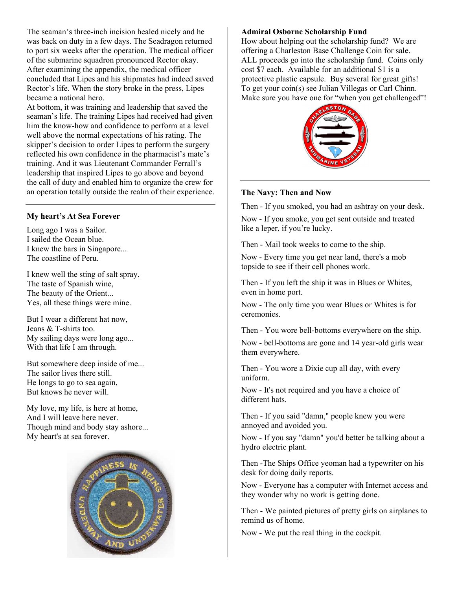The seaman's three-inch incision healed nicely and he was back on duty in a few days. The Seadragon returned to port six weeks after the operation. The medical officer of the submarine squadron pronounced Rector okay. After examining the appendix, the medical officer concluded that Lipes and his shipmates had indeed saved Rector's life. When the story broke in the press, Lipes became a national hero.

At bottom, it was training and leadership that saved the seaman's life. The training Lipes had received had given him the know-how and confidence to perform at a level well above the normal expectations of his rating. The skipper's decision to order Lipes to perform the surgery reflected his own confidence in the pharmacist's mate's training. And it was Lieutenant Commander Ferrall's leadership that inspired Lipes to go above and beyond the call of duty and enabled him to organize the crew for an operation totally outside the realm of their experience.

#### **My heart's At Sea Forever**

Long ago I was a Sailor. I sailed the Ocean blue. I knew the bars in Singapore... The coastline of Peru.

I knew well the sting of salt spray, The taste of Spanish wine, The beauty of the Orient... Yes, all these things were mine.

But I wear a different hat now, Jeans & T-shirts too. My sailing days were long ago... With that life I am through.

But somewhere deep inside of me... The sailor lives there still. He longs to go to sea again, But knows he never will.

My love, my life, is here at home, And I will leave here never. Though mind and body stay ashore... My heart's at sea forever.



#### **Admiral Osborne Scholarship Fund**

How about helping out the scholarship fund? We are offering a Charleston Base Challenge Coin for sale. ALL proceeds go into the scholarship fund. Coins only cost \$7 each. Available for an additional \$1 is a protective plastic capsule. Buy several for great gifts! To get your coin(s) see Julian Villegas or Carl Chinn. Make sure you have one for "when you get challenged"!



#### **The Navy: Then and Now**

Then - If you smoked, you had an ashtray on your desk.

Now - If you smoke, you get sent outside and treated like a leper, if you're lucky.

Then - Mail took weeks to come to the ship.

Now - Every time you get near land, there's a mob topside to see if their cell phones work.

Then - If you left the ship it was in Blues or Whites, even in home port.

Now - The only time you wear Blues or Whites is for ceremonies.

Then - You wore bell-bottoms everywhere on the ship.

Now - bell-bottoms are gone and 14 year-old girls wear them everywhere.

Then - You wore a Dixie cup all day, with every uniform.

Now - It's not required and you have a choice of different hats.

Then - If you said "damn," people knew you were annoyed and avoided you.

Now - If you say "damn" you'd better be talking about a hydro electric plant.

Then -The Ships Office yeoman had a typewriter on his desk for doing daily reports.

Now - Everyone has a computer with Internet access and they wonder why no work is getting done.

Then - We painted pictures of pretty girls on airplanes to remind us of home.

Now - We put the real thing in the cockpit.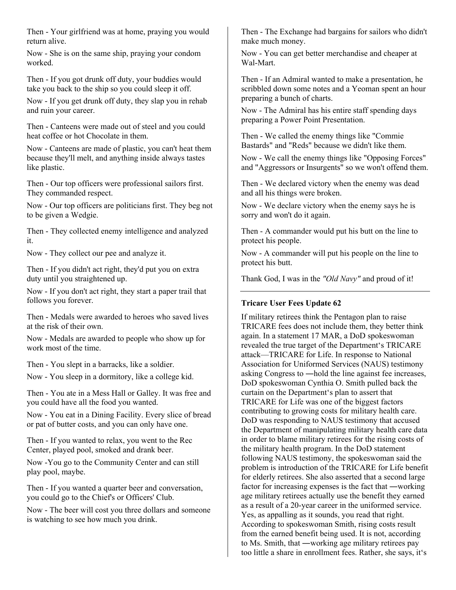Then - Your girlfriend was at home, praying you would return alive.

Now - She is on the same ship, praying your condom worked.

Then - If you got drunk off duty, your buddies would take you back to the ship so you could sleep it off.

Now - If you get drunk off duty, they slap you in rehab and ruin your career.

Then - Canteens were made out of steel and you could heat coffee or hot Chocolate in them.

Now - Canteens are made of plastic, you can't heat them because they'll melt, and anything inside always tastes like plastic.

Then - Our top officers were professional sailors first. They commanded respect.

Now - Our top officers are politicians first. They beg not to be given a Wedgie.

Then - They collected enemy intelligence and analyzed it.

Now - They collect our pee and analyze it.

Then - If you didn't act right, they'd put you on extra duty until you straightened up.

Now - If you don't act right, they start a paper trail that follows you forever.

Then - Medals were awarded to heroes who saved lives at the risk of their own.

Now - Medals are awarded to people who show up for work most of the time.

Then - You slept in a barracks, like a soldier.

Now - You sleep in a dormitory, like a college kid.

Then - You ate in a Mess Hall or Galley. It was free and you could have all the food you wanted.

Now - You eat in a Dining Facility. Every slice of bread or pat of butter costs, and you can only have one.

Then - If you wanted to relax, you went to the Rec Center, played pool, smoked and drank beer.

Now -You go to the Community Center and can still play pool, maybe.

Then - If you wanted a quarter beer and conversation, you could go to the Chief's or Officers' Club.

Now - The beer will cost you three dollars and someone is watching to see how much you drink.

Then - The Exchange had bargains for sailors who didn't make much money.

Now - You can get better merchandise and cheaper at Wal-Mart.

Then - If an Admiral wanted to make a presentation, he scribbled down some notes and a Yeoman spent an hour preparing a bunch of charts.

Now - The Admiral has his entire staff spending days preparing a Power Point Presentation.

Then - We called the enemy things like "Commie Bastards" and "Reds" because we didn't like them.

Now - We call the enemy things like "Opposing Forces" and "Aggressors or Insurgents" so we won't offend them.

Then - We declared victory when the enemy was dead and all his things were broken.

Now - We declare victory when the enemy says he is sorry and won't do it again.

Then - A commander would put his butt on the line to protect his people.

Now - A commander will put his people on the line to protect his butt.

Thank God, I was in the *"Old Navy"* and proud of it!

## **Tricare User Fees Update 62**

If military retirees think the Pentagon plan to raise TRICARE fees does not include them, they better think again. In a statement 17 MAR, a DoD spokeswoman revealed the true target of the Department's TRICARE attack—TRICARE for Life. In response to National Association for Uniformed Services (NAUS) testimony asking Congress to ―hold the line against fee increases, DoD spokeswoman Cynthia O. Smith pulled back the curtain on the Department's plan to assert that TRICARE for Life was one of the biggest factors contributing to growing costs for military health care. DoD was responding to NAUS testimony that accused the Department of manipulating military health care data in order to blame military retirees for the rising costs of the military health program. In the DoD statement following NAUS testimony, the spokeswoman said the problem is introduction of the TRICARE for Life benefit for elderly retirees. She also asserted that a second large factor for increasing expenses is the fact that ―working age military retirees actually use the benefit they earned as a result of a 20-year career in the uniformed service. Yes, as appalling as it sounds, you read that right. According to spokeswoman Smith, rising costs result from the earned benefit being used. It is not, according to Ms. Smith, that ―working age military retirees pay too little a share in enrollment fees. Rather, she says, it's